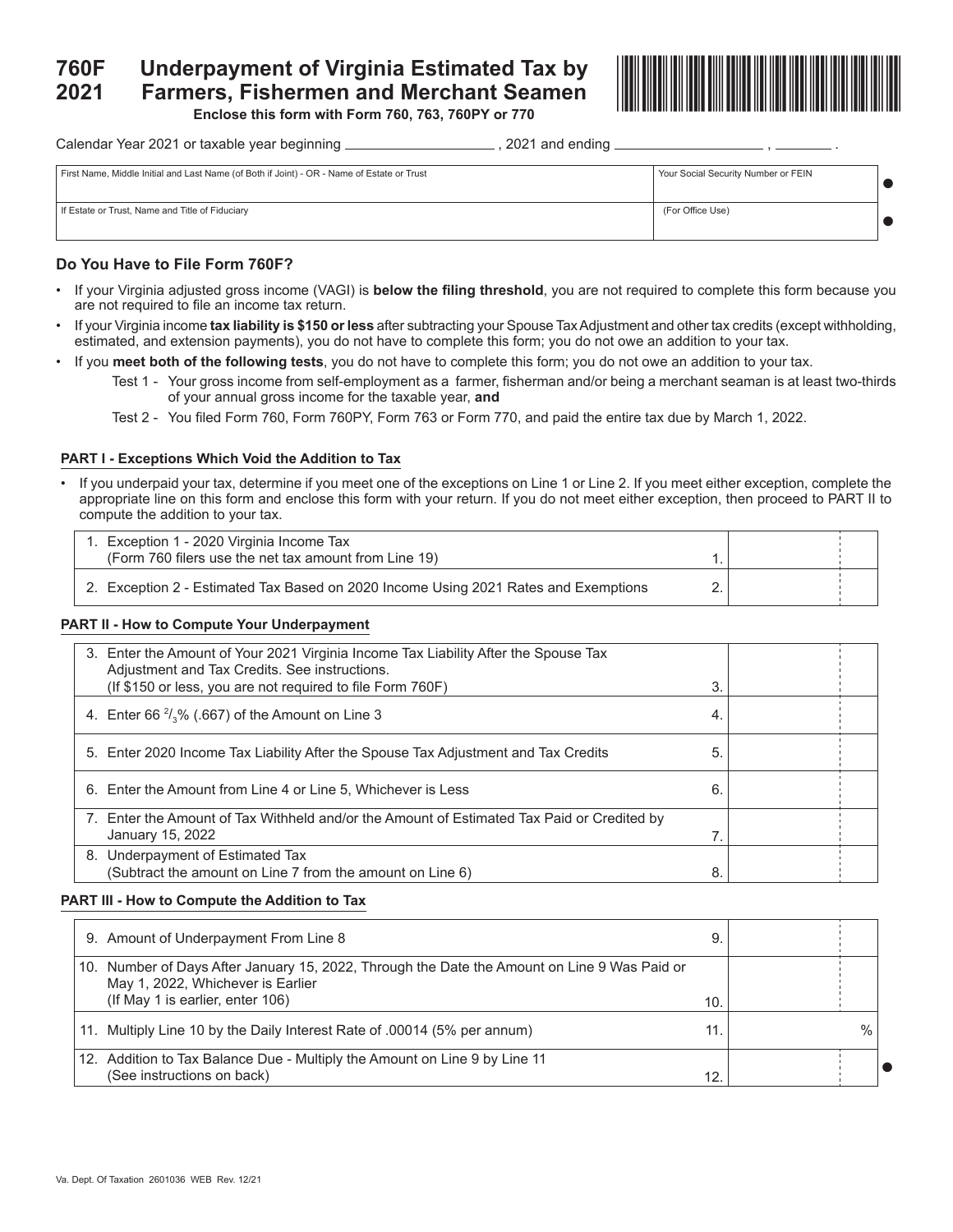# **760F Underpayment of Virginia Estimated Tax by 2021 Farmers, Fishermen and Merchant Seamen**



**Enclose this form with Form 760, 763, 760PY or 770**

Calendar Year 2021 or taxable year beginning  $\frac{2}{2}$  and ending  $\frac{2021}{2}$  and ending  $\frac{2021}{2}$ 

| First Name, Middle Initial and Last Name (of Both if Joint) - OR - Name of Estate or Trust | Your Social Security Number or FEIN |  |
|--------------------------------------------------------------------------------------------|-------------------------------------|--|
| If Estate or Trust, Name and Title of Fiduciary                                            | (For Office Use)                    |  |

## **Do You Have to File Form 760F?**

- If your Virginia adjusted gross income (VAGI) is **below the filing threshold**, you are not required to complete this form because you are not required to file an income tax return.
- If your Virginia income **tax liability is \$150 or less** after subtracting your Spouse Tax Adjustment and other tax credits (except withholding, estimated, and extension payments), you do not have to complete this form; you do not owe an addition to your tax.
- If you **meet both of the following tests**, you do not have to complete this form; you do not owe an addition to your tax.
	- Test 1 Your gross income from self-employment as a farmer, fisherman and/or being a merchant seaman is at least two-thirds of your annual gross income for the taxable year, **and**
	- Test 2 You filed Form 760, Form 760PY, Form 763 or Form 770, and paid the entire tax due by March 1, 2022.

## **PART I - Exceptions Which Void the Addition to Tax**

• If you underpaid your tax, determine if you meet one of the exceptions on Line 1 or Line 2. If you meet either exception, complete the appropriate line on this form and enclose this form with your return. If you do not meet either exception, then proceed to PART II to compute the addition to your tax.

| 1. Exception 1 - 2020 Virginia Income Tax                                           |  |  |
|-------------------------------------------------------------------------------------|--|--|
| (Form 760 filers use the net tax amount from Line 19)                               |  |  |
| 2. Exception 2 - Estimated Tax Based on 2020 Income Using 2021 Rates and Exemptions |  |  |

## **PART II - How to Compute Your Underpayment**

| 3. Enter the Amount of Your 2021 Virginia Income Tax Liability After the Spouse Tax<br>Adjustment and Tax Credits. See instructions.<br>(If \$150 or less, you are not required to file Form 760F) | 3  |  |
|----------------------------------------------------------------------------------------------------------------------------------------------------------------------------------------------------|----|--|
| 4. Enter 66 $\frac{2}{3}$ % (.667) of the Amount on Line 3                                                                                                                                         | 4. |  |
| 5. Enter 2020 Income Tax Liability After the Spouse Tax Adjustment and Tax Credits                                                                                                                 | 5  |  |
| 6. Enter the Amount from Line 4 or Line 5, Whichever is Less                                                                                                                                       | 6. |  |
| 7. Enter the Amount of Tax Withheld and/or the Amount of Estimated Tax Paid or Credited by<br>January 15, 2022                                                                                     |    |  |
| 8. Underpayment of Estimated Tax<br>(Subtract the amount on Line 7 from the amount on Line 6)                                                                                                      | 8. |  |

## **PART III - How to Compute the Addition to Tax**

| 9. Amount of Underpayment From Line 8                                                                                                                                 | 9   |      |  |
|-----------------------------------------------------------------------------------------------------------------------------------------------------------------------|-----|------|--|
| 10. Number of Days After January 15, 2022, Through the Date the Amount on Line 9 Was Paid or<br>May 1, 2022, Whichever is Earlier<br>(If May 1 is earlier, enter 106) | 10. |      |  |
| 11. Multiply Line 10 by the Daily Interest Rate of .00014 (5% per annum)                                                                                              | 11. | $\%$ |  |
| 12. Addition to Tax Balance Due - Multiply the Amount on Line 9 by Line 11<br>(See instructions on back)                                                              | 12. |      |  |